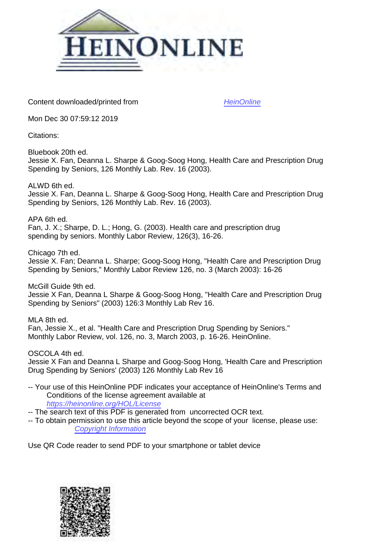

Content downloaded/printed from [HeinOnline](https://heinonline.org/HOL/Page?handle=hein.journals/month126&collection=journals&id=244&startid=&endid=254)

Mon Dec 30 07:59:12 2019

Citations:

Bluebook 20th ed. Jessie X. Fan, Deanna L. Sharpe & Goog-Soog Hong, Health Care and Prescription Drug Spending by Seniors, 126 Monthly Lab. Rev. 16 (2003).

ALWD 6th ed. Jessie X. Fan, Deanna L. Sharpe & Goog-Soog Hong, Health Care and Prescription Drug Spending by Seniors, 126 Monthly Lab. Rev. 16 (2003).

APA 6th ed. Fan, J. X.; Sharpe, D. L.; Hong, G. (2003). Health care and prescription drug spending by seniors. Monthly Labor Review, 126(3), 16-26.

Chicago 7th ed. Jessie X. Fan; Deanna L. Sharpe; Goog-Soog Hong, "Health Care and Prescription Drug Spending by Seniors," Monthly Labor Review 126, no. 3 (March 2003): 16-26

McGill Guide 9th ed. Jessie X Fan, Deanna L Sharpe & Goog-Soog Hong, "Health Care and Prescription Drug Spending by Seniors" (2003) 126:3 Monthly Lab Rev 16.

MLA 8th ed. Fan, Jessie X., et al. "Health Care and Prescription Drug Spending by Seniors." Monthly Labor Review, vol. 126, no. 3, March 2003, p. 16-26. HeinOnline.

OSCOLA 4th ed.

Jessie X Fan and Deanna L Sharpe and Goog-Soog Hong, 'Health Care and Prescription Drug Spending by Seniors' (2003) 126 Monthly Lab Rev 16

-- Your use of this HeinOnline PDF indicates your acceptance of HeinOnline's Terms and Conditions of the license agreement available at <https://heinonline.org/HOL/License>

-- The search text of this PDF is generated from uncorrected OCR text.

-- To obtain permission to use this article beyond the scope of your license, please use: [Copyright Information](https://www.copyright.com/ccc/basicSearch.do?operation=go&searchType=0&lastSearch=simple&all=on&titleOrStdNo=0098-1818)

Use QR Code reader to send PDF to your smartphone or tablet device

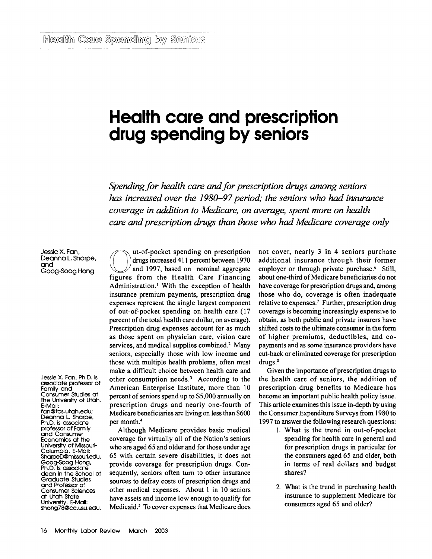# **Health care and prescription drug spending by seniors**

*Spending for health care and for prescription drugs among seniors* has increased over the 1980–97 period; the seniors who had insurance *coverage in addition to Medicare, on average, spent more on health care and prescription drugs than those who had Medicare coverage only*

Jessie X. Fan, Deanna L. Sharpe, and Goog-Soog Hong

Jessie X. Fan, Ph.D. Is associate professor of Family and Consumer Studies at the University of Utah, E-Mail: fan@fcs.utah.edu; Deanna L. Sharpe, Ph.D, Is associate professor of Family and Consumer Economics at the University of Missouri-Columbia. E-Malil: SharpeD@mlssourl.edu. Goog-Soog Hong, Ph.D. Is associate dean In the School of Graduate Studies and Professor of Consumer Sciences at Utah State University. E-Mail: shong78@cc.usu.edu.

ut-of-pocket spending on prescription drugs increased 411 percent between 1970 and 1997, based on nominal aggregate figures from the Health Care Financing Administration.' With the exception of health insurance premium payments, prescription drug expenses represent the single largest component of out-of-pocket spending on health care (17 percent of the total health care dollar, on average). Prescription drug expenses account for as much as those spent on physician care, vision care services, and medical supplies combined.<sup>2</sup> Many seniors, especially those with low income and those with multiple health problems, often must make a difficult choice between health care and other consumption needs.' According to the American Enterprise Institute, more than 10 percent of seniors spend up to \$5,000 annually on prescription drugs and nearly one-fourth of Medicare beneficiaries are living on less than \$600 per month.<sup>4</sup>

Although Medicare provides basic medical coverage for virtually all of the Nation's seniors who are aged 65 and older and for those under age 65 with certain severe disabilities, it does not provide coverage for prescription drugs. Consequently, seniors often turn to other insurance sources to defray costs of prescription drugs and other medical expenses. About 1 in 10 seniors have assets and income low enough to qualify for Medicaid.' To cover expenses that Medicare does not cover, nearly 3 in 4 seniors purchase additional insurance through their former employer or through private purchase.<sup>6</sup> Still, about one-third of Medicare beneficiaries do not have coverage for prescription drugs and, among those who do, coverage is often inadequate relative to expenses.7 Further, prescription drug coverage is becoming increasingly expensive to obtain, as both public and private insurers have shifted costs to the ultimate consumer in the form of higher premiums, deductibles, and copayments and as some insurance providers have cut-back or eliminated coverage for prescription drugs.'

Given the importance of prescription drugs to the health care of seniors, the addition of prescription drug benefits to Medicare has become an important public health policy issue. This article examines this issue in-depth by using the Consumer Expenditure Surveys from 1980 to 1997 to answer the following research questions:

- 1. What is the trend in out-of-pocket spending for health care in general and for prescription drugs in particular for the consumers aged 65 and older, both in terms of real dollars and budget shares?
- 2. What is the trend in purchasing health insurance to supplement Medicare for consumers aged 65 and older?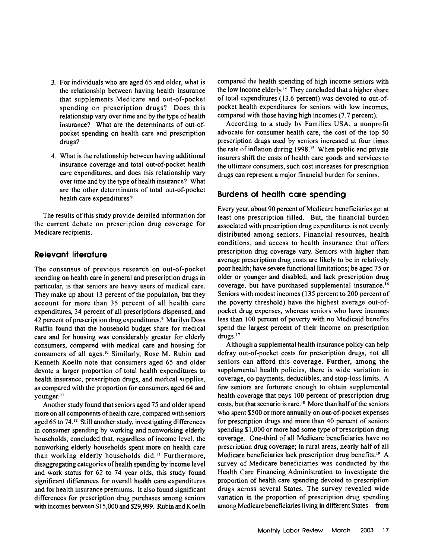- 3. For individuals who are aged 65 and older, what is the relationship between having health insurance that supplements Medicare and out-of-pocket spending on prescription drugs? Does this relationship vary over time and by the type of health insurance? What are the determinants of out-ofpocket spending on health care and prescription drugs?
- 4. What is the relationship between having additional insurance coverage and total out-of-pocket health care expenditures, and does this relationship vary over time and by the type of health insurance? What are the other determinants of total out-of-pocket health care expenditures?

The results of this study provide detailed information for the current debate on prescription drug coverage for Medicare recipients.

## **Relevant literature**

The consensus of previous research on out-of-pocket spending on health care in general and prescription drugs in particular, is that seniors are heavy users of medical care. They make up about 13 percent of the population, but they account for more than 35 percent of all health care expenditures, 34 percent of all prescriptions dispensed, and 42 percent of prescription drug expenditures.' Marilyn Doss Ruffin found that the household budget share for medical care and for housing was considerably greater for elderly consumers, compared with medical care and housing for consumers of all ages.<sup>10</sup> Similarly, Rose M. Rubin and Kenneth Koelln note that consumers aged 65 and older devote a larger proportion of total health expenditures to health insurance, prescription drugs, and medical supplies, as compared with the proportion for consumers aged 64 and younger.<sup>11</sup>

Another study found that seniors aged 75 and older spend more on all components of health care, compared with seniors aged 65 to 74.<sup>12</sup> Still another study, investigating differences in consumer spending by working and nonworking elderly households, concluded that, regardless of income level, the nonworking elderly households spent more on health care than working elderly households did.<sup>13</sup> Furthermore, disaggregating categories of health spending by income level and work status for 62 to 74 year olds, this study found significant differences for overall health care expenditures and for health insurance premiums. It also found significant differences for prescription drug purchases among seniors with incomes between \$15,000 and \$29,999. Rubin and Koelln

compared the health spending of high income seniors with the low income elderly.<sup>14</sup> They concluded that a higher share of total expenditures (13.6 percent) was devoted to out-ofpocket health expenditures for seniors with low incomes, compared with those having high incomes (7.7 percent).

According to a study by Families USA, a nonprofit advocate for consumer health care, the cost of the top 50 prescription drugs used by seniors increased at four times the rate of inflation during  $1998<sup>15</sup>$  When public and private insurers shift the costs of health care goods and services to the ultimate consumers, such cost increases for prescription drugs can represent a major financial burden for seniors.

## **Burdens of health care spending**

Every year, about 90 percent of Medicare beneficiaries get at least one prescription filled. But, the financial burden associated with prescription drug expenditures is not evenly distributed among seniors. Financial resources, health conditions, and access to health insurance that offers prescription drug coverage vary. Seniors with higher than average prescription drug costs are likely to be in relatively poor health; have severe functional limitations; be aged 75 or older or younger and disabled; and lack prescription drug coverage, but have purchased supplemental insurance.<sup>16</sup> Seniors with modest incomes (135 percent to 200 percent of the poverty threshold) have the highest average out-ofpocket drug expenses, whereas seniors who have incomes less than 100 percent of poverty with no Medicaid benefits spend the largest percent of their income on prescription  $drues.$ <sup>17</sup>

Although a supplemental health insurance policy can help defray out-of-pocket costs for prescription drugs, not all seniors can afford this coverage. Further, among the supplemental health policies, there is wide variation in coverage, co-payments, deductibles, and stop-loss limits. A few seniors are fortunate enough to obtain supplemental health coverage that pays 100 percent of prescription drug costs, but that scenario is rare.<sup>18</sup> More than half of the seniors who spent \$500 or more annually on out-of-pocket expenses for prescription drugs and more than 40 percent of seniors spending \$1,000 or more had some type of prescription drug coverage. One-third of all Medicare beneficiaries have no prescription drug coverage; in rural areas, nearly half of all Medicare beneficiaries lack prescription drug benefits.<sup>19</sup> A survey of Medicare beneficiaries was conducted by the Health Care Financing Administration to investigate the proportion of health care spending devoted to prescription drugs across several States. The survey revealed wide variation in the proportion of prescription drug spending among Medicare beneficiaries living in different States-from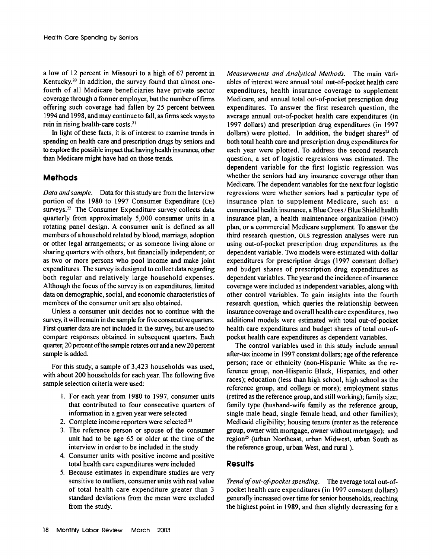a low of 12 percent in Missouri to a high of 67 percent in Kentucky.<sup>20</sup> In addition, the survey found that almost onefourth of all Medicare beneficiaries have private sector coverage through a former employer, but the number of firms offering such coverage had fallen by 25 percent between 1994 and 1998, and may continue to fall, as firms seek ways to rein in rising health-care costs.<sup>21</sup>

In light of these facts, it is of interest to examine trends in spending on health care and prescription drugs by seniors and to explore the possible impact that having health insurance, other than Medicare might have had on those trends.

## **Methods**

*Data andsample.* Data for this study are from the Interview portion of the 1980 to 1997 Consumer Expenditure (CE) surveys.<sup>22</sup> The Consumer Expenditure survey collects data quarterly from approximately 5,000 consumer units in a rotating panel design. A consumer unit is defined as all members of a household related by blood, marriage, adoption or other legal arrangements; or as someone living alone or sharing quarters with others, but financially independent; or as two or more persons who pool income and make joint expenditures. The survey is designed to collect data regarding both regular and relatively large household expenses. Although the focus of the survey is on expenditures, limited data on demographic, social, and economic characteristics of members of the consumer unit are also obtained.

Unless a consumer unit decides not to continue with the survey, it will remain in the sample for five consecutive quarters. First quarter data are not included in the survey, but are used to compare responses obtained in subsequent quarters. Each quarter, 20 percent of the sample rotates out and a new 20 percent sample is added.

For this study, a sample of 3,423 households was used, with about 200 households for each year. The following five sample selection criteria were used:

- 1. For each year from 1980 to 1997, consumer units that contributed to four consecutive quarters of information in a given year were selected
- 2. Complete income reporters were selected  $23$
- 3. The reference person or spouse of the consumer unit had to be age 65 or older at the time of the interview in order to be included in the study
- 4. Consumer units with positive income and positive total health care expenditures were included
- 5. Because estimates in expenditure studies are very sensitive to outliers, consumer units with real value of total health care expenditure greater than 3 standard deviations from the mean were excluded from the study.

*Measurements and Analytical Methods.* The main variables of interest were annual total out-of-pocket health care expenditures, health insurance coverage to supplement Medicare, and annual total out-of-pocket prescription drug expenditures. To answer the first research question, the average annual out-of-pocket health care expenditures (in 1997 dollars) and prescription drug expenditures (in 1997 dollars) were plotted. In addition, the budget shares<sup>24</sup> of both total health care and prescription drug expenditures for each year were plotted. To address the second research question, a set of logistic regressions was estimated. The dependent variable for the first logistic regression was whether the seniors had any insurance coverage other than Medicare. The dependent variables for the next four logistic regressions were whether seniors had a particular type of insurance plan to supplement Medicare, such as: a commercial health insurance, a Blue Cross */* Blue Shield health insurance plan, a health maintenance organization (HMO) plan, or a commercial Medicare supplement. To answer the third research question, OLS regression analyses were run using out-of-pocket prescription drug expenditures as the dependent variable. Two models were estimated with dollar expenditures for prescription drugs (1997 constant dollar) and budget shares of prescription drug expenditures as dependent variables. The year and the incidence of insurance coverage were included as independent variables, along with other control variables. To gain insights into the fourth research question, which queries the relationship between insurance coverage and overall health care expenditures, two additional models were estimated with total out-of-pocket health care expenditures and budget shares of total out-ofpocket health care expenditures as dependent variables.

The control variables used in this study include annual after-tax income in 1997 constant dollars; age of the reference person; race or ethnicity (non-Hispanic White as the reference group, non-Hispanic Black, Hispanics, and other races); education (less than high school, high school as the reference group, and college or more); employment status (retired as the reference group, and still working); family size; family type (husband-wife family as the reference group, single male head, single female head, and other families); Medicaid eligibility; housing tenure (renter as the reference group, owner with mortgage, owner without mortgage); and region<sup>25</sup> (urban Northeast, urban Midwest, urban South as the reference group, urban West, and rural).

### **Results**

*Trend of out-of-pocket spending.* The average total out-ofpocket health care expenditures (in 1997 constant dollars) generally increased over time for senior households, reaching the highest point in 1989, and then slightly decreasing for a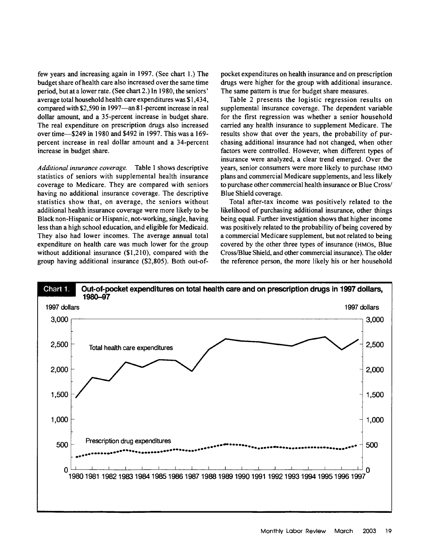few years and increasing again in 1997. (See chart **1.)** The budget share of health care also increased over the same time period, but at a lower rate. (See chart 2.) In 1980, the seniors' average total household health care expenditures was \$1,434, compared with \$2,590 in 1997—an 81-percent increase in real dollar amount, and a 35-percent increase in budget share. The real expenditure on prescription drugs also increased over time-\$249 in 1980 and \$492 in 1997. This was a 169 percent increase in real dollar amount and a 34-percent increase in budget share.

*Additional insurance coverage.* Table 1 shows descriptive statistics of seniors with supplemental health insurance coverage to Medicare. They are compared with seniors having no additional insurance coverage. The descriptive statistics show that, on average, the seniors without additional health insurance coverage were more likely to be Black non-Hispanic or Hispanic, not-working, single, having less than a high school education, and eligible for Medicaid. They also had lower incomes. The average annual total expenditure on health care was much lower for the group without additional insurance (\$1,210), compared with the group having additional insurance (\$2,805). Both out-ofpocket expenditures on health insurance and on prescription drugs were higher for the group with additional insurance. The same pattern is true for budget share measures.

Table 2 presents the logistic regression results on supplemental insurance coverage. The dependent variable for the first regression was whether a senior household carried any health insurance to supplement Medicare. The results show that over the years, the probability of purchasing additional insurance had not changed, when other factors were controlled. However, when different types of insurance were analyzed, a clear trend emerged. Over the years, senior consumers were more likely to purchase HMO plans and commercial Medicare supplements, and less likely to purchase other commercial health insurance or Blue Cross/ Blue Shield coverage.

Total after-tax income was positively related to the likelihood of purchasing additional insurance, other things being equal. Further investigation shows that higher income was positively related to the probability of being covered by a commercial Medicare supplement, but not related to being covered by the other three types of insurance (HMOs, Blue Cross/Blue Shield, and other commercial insurance). The older the reference person, the more likely his or her household

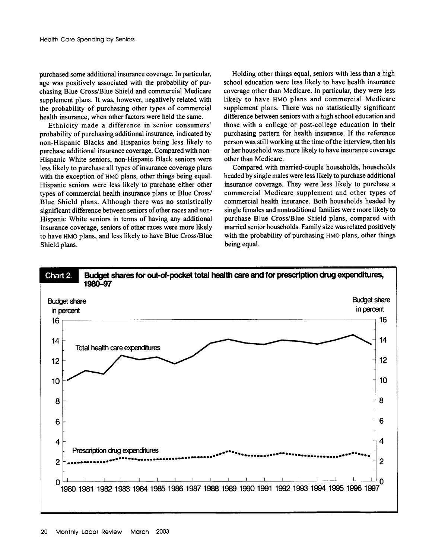purchased some additional insurance coverage. In particular, age was positively associated with the probability of purchasing Blue Cross/Blue Shield and commercial Medicare supplement plans. It was, however, negatively related with the probability of purchasing other types of commercial health insurance, when other factors were held the same.

Ethnicity made a difference in senior consumers' probability of purchasing additional insurance, indicated by non-Hispanic Blacks and Hispanics being less likely to purchase additional insurance coverage. Compared with non-Hispanic White seniors, non-Hispanic Black seniors were less likely to purchase all types of insurance coverage plans with the exception of HMO plans, other things being equal. Hispanic seniors were less likely to purchase either other types of commercial health insurance plans or Blue Cross/ Blue Shield plans. Although there was no statistically significant difference between seniors of other races and non-Hispanic White seniors in terms of having any additional insurance coverage, seniors of other races were more likely to have HMO plans, and less likely to have Blue Cross/Blue Shield plans.

Holding other things equal, seniors with less than a high school education were less likely to have health insurance coverage other than Medicare. In particular, they were less likely to have HMO plans and commercial Medicare supplement plans. There was no statistically significant difference between seniors with a high school education and those with a college or post-college education in their purchasing pattern for health insurance. If the reference person was still working at the time of the interview, then his or her household was more likely to have insurance coverage other than Medicare.

Compared with married-couple households, households headed by single males were less likely to purchase additional insurance coverage. They were less likely to purchase a commercial Medicare supplement and other types of commercial health insurance. Both households headed by single females and nontraditional families were more likely to purchase Blue Cross/Blue Shield plans, compared with married senior households. Family size was related positively with the probability of purchasing HMO plans, other things being equal.

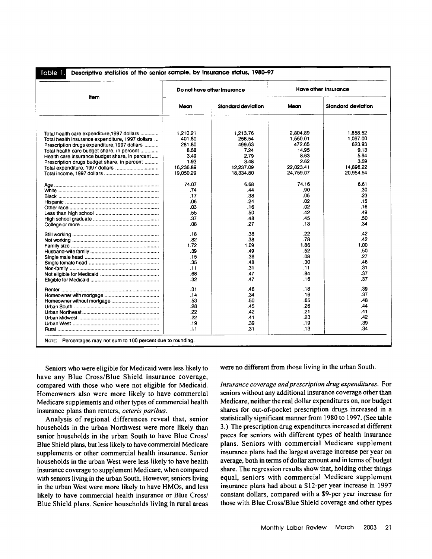| ltem<br><b>Standard deviation</b><br><b>Standard deviation</b><br>Mean<br>Maan<br>2.804.89<br>1.858.52<br>1,210.21<br>1.213.76<br>258.54<br>1,550.01<br>1,067.00<br>401.80<br>623.93<br>281.80<br>499.63<br>472.65<br>8.58<br>14.95<br>9.13<br>7.24<br>5.94<br>3.49<br>2.79<br>8.63<br>2.62<br>3.59<br>1.93<br>3.48<br>16,236.89<br>12,237.09<br>22,023.41<br>14,896.22<br>24,759.07<br>20,954.54<br>19,050.29<br>18,334.80<br>74.16<br>6.61<br>74.07<br>6.68<br>.90<br>.30<br>.74<br>.44<br>.05<br>.23<br>.17<br>.38<br>.02<br>.06<br>.24<br>.15<br>.02<br>.16<br>.03<br>.16<br>.42<br>.49<br>.55<br>.50<br>.50<br>.37<br>.48<br>.45<br>.27<br>.13<br>.34<br>.08<br>.22<br>.42<br>.18<br>.38<br>.78<br>.42<br>.82<br>.38<br>1.00<br>1.72<br>1.09<br>1.86<br>.52<br>.39<br>.49<br>.50<br>.36<br>.08<br>.27<br>.15<br>.35<br>.48<br>.30<br>.46<br>31<br>.31<br>.11<br>.11<br>.84<br>.37<br>.68<br>.47<br>.37<br>.32<br>.47<br>.16<br>.39<br>.31<br>.18<br>.46<br>.37<br>.34<br>.14<br>.16<br>.48<br>.50<br>.65<br>.53<br>.26<br>.44<br>.28<br>.45<br>.22<br>.42<br>.21<br>.41<br>.42<br>.22<br>.23<br>.41<br>.39<br>.39<br>.19<br>.19 |     | Do not have other insurance | Have other insurance |     |  |
|--------------------------------------------------------------------------------------------------------------------------------------------------------------------------------------------------------------------------------------------------------------------------------------------------------------------------------------------------------------------------------------------------------------------------------------------------------------------------------------------------------------------------------------------------------------------------------------------------------------------------------------------------------------------------------------------------------------------------------------------------------------------------------------------------------------------------------------------------------------------------------------------------------------------------------------------------------------------------------------------------------------------------------------------------------------------------------------------------------------------------------------|-----|-----------------------------|----------------------|-----|--|
| Total health care expenditure, 1997 dollars<br>Total health insurance expenditure, 1997 dollars<br>Prescription drugs expenditure, 1997 dollars<br>Total health care budget share, in percent<br>Health care insurance budget share, in percent<br>Prescription drugs budget share, in percent                                                                                                                                                                                                                                                                                                                                                                                                                                                                                                                                                                                                                                                                                                                                                                                                                                       |     |                             |                      |     |  |
|                                                                                                                                                                                                                                                                                                                                                                                                                                                                                                                                                                                                                                                                                                                                                                                                                                                                                                                                                                                                                                                                                                                                      |     |                             |                      |     |  |
|                                                                                                                                                                                                                                                                                                                                                                                                                                                                                                                                                                                                                                                                                                                                                                                                                                                                                                                                                                                                                                                                                                                                      |     |                             |                      |     |  |
|                                                                                                                                                                                                                                                                                                                                                                                                                                                                                                                                                                                                                                                                                                                                                                                                                                                                                                                                                                                                                                                                                                                                      |     |                             |                      |     |  |
|                                                                                                                                                                                                                                                                                                                                                                                                                                                                                                                                                                                                                                                                                                                                                                                                                                                                                                                                                                                                                                                                                                                                      |     |                             |                      |     |  |
|                                                                                                                                                                                                                                                                                                                                                                                                                                                                                                                                                                                                                                                                                                                                                                                                                                                                                                                                                                                                                                                                                                                                      |     |                             |                      |     |  |
|                                                                                                                                                                                                                                                                                                                                                                                                                                                                                                                                                                                                                                                                                                                                                                                                                                                                                                                                                                                                                                                                                                                                      |     |                             |                      |     |  |
|                                                                                                                                                                                                                                                                                                                                                                                                                                                                                                                                                                                                                                                                                                                                                                                                                                                                                                                                                                                                                                                                                                                                      |     |                             |                      |     |  |
|                                                                                                                                                                                                                                                                                                                                                                                                                                                                                                                                                                                                                                                                                                                                                                                                                                                                                                                                                                                                                                                                                                                                      |     |                             |                      |     |  |
|                                                                                                                                                                                                                                                                                                                                                                                                                                                                                                                                                                                                                                                                                                                                                                                                                                                                                                                                                                                                                                                                                                                                      |     |                             |                      |     |  |
|                                                                                                                                                                                                                                                                                                                                                                                                                                                                                                                                                                                                                                                                                                                                                                                                                                                                                                                                                                                                                                                                                                                                      |     |                             |                      |     |  |
|                                                                                                                                                                                                                                                                                                                                                                                                                                                                                                                                                                                                                                                                                                                                                                                                                                                                                                                                                                                                                                                                                                                                      |     |                             |                      |     |  |
|                                                                                                                                                                                                                                                                                                                                                                                                                                                                                                                                                                                                                                                                                                                                                                                                                                                                                                                                                                                                                                                                                                                                      |     |                             |                      |     |  |
|                                                                                                                                                                                                                                                                                                                                                                                                                                                                                                                                                                                                                                                                                                                                                                                                                                                                                                                                                                                                                                                                                                                                      |     |                             |                      |     |  |
|                                                                                                                                                                                                                                                                                                                                                                                                                                                                                                                                                                                                                                                                                                                                                                                                                                                                                                                                                                                                                                                                                                                                      |     |                             |                      |     |  |
|                                                                                                                                                                                                                                                                                                                                                                                                                                                                                                                                                                                                                                                                                                                                                                                                                                                                                                                                                                                                                                                                                                                                      |     |                             |                      |     |  |
|                                                                                                                                                                                                                                                                                                                                                                                                                                                                                                                                                                                                                                                                                                                                                                                                                                                                                                                                                                                                                                                                                                                                      |     |                             |                      |     |  |
|                                                                                                                                                                                                                                                                                                                                                                                                                                                                                                                                                                                                                                                                                                                                                                                                                                                                                                                                                                                                                                                                                                                                      |     |                             |                      |     |  |
|                                                                                                                                                                                                                                                                                                                                                                                                                                                                                                                                                                                                                                                                                                                                                                                                                                                                                                                                                                                                                                                                                                                                      |     |                             |                      |     |  |
|                                                                                                                                                                                                                                                                                                                                                                                                                                                                                                                                                                                                                                                                                                                                                                                                                                                                                                                                                                                                                                                                                                                                      |     |                             |                      |     |  |
|                                                                                                                                                                                                                                                                                                                                                                                                                                                                                                                                                                                                                                                                                                                                                                                                                                                                                                                                                                                                                                                                                                                                      |     |                             |                      |     |  |
|                                                                                                                                                                                                                                                                                                                                                                                                                                                                                                                                                                                                                                                                                                                                                                                                                                                                                                                                                                                                                                                                                                                                      |     |                             |                      |     |  |
|                                                                                                                                                                                                                                                                                                                                                                                                                                                                                                                                                                                                                                                                                                                                                                                                                                                                                                                                                                                                                                                                                                                                      |     |                             |                      |     |  |
|                                                                                                                                                                                                                                                                                                                                                                                                                                                                                                                                                                                                                                                                                                                                                                                                                                                                                                                                                                                                                                                                                                                                      |     |                             |                      |     |  |
|                                                                                                                                                                                                                                                                                                                                                                                                                                                                                                                                                                                                                                                                                                                                                                                                                                                                                                                                                                                                                                                                                                                                      |     |                             |                      |     |  |
|                                                                                                                                                                                                                                                                                                                                                                                                                                                                                                                                                                                                                                                                                                                                                                                                                                                                                                                                                                                                                                                                                                                                      |     |                             |                      |     |  |
|                                                                                                                                                                                                                                                                                                                                                                                                                                                                                                                                                                                                                                                                                                                                                                                                                                                                                                                                                                                                                                                                                                                                      |     |                             |                      |     |  |
|                                                                                                                                                                                                                                                                                                                                                                                                                                                                                                                                                                                                                                                                                                                                                                                                                                                                                                                                                                                                                                                                                                                                      |     |                             |                      |     |  |
|                                                                                                                                                                                                                                                                                                                                                                                                                                                                                                                                                                                                                                                                                                                                                                                                                                                                                                                                                                                                                                                                                                                                      |     |                             |                      |     |  |
|                                                                                                                                                                                                                                                                                                                                                                                                                                                                                                                                                                                                                                                                                                                                                                                                                                                                                                                                                                                                                                                                                                                                      |     |                             |                      |     |  |
|                                                                                                                                                                                                                                                                                                                                                                                                                                                                                                                                                                                                                                                                                                                                                                                                                                                                                                                                                                                                                                                                                                                                      |     |                             |                      |     |  |
|                                                                                                                                                                                                                                                                                                                                                                                                                                                                                                                                                                                                                                                                                                                                                                                                                                                                                                                                                                                                                                                                                                                                      |     |                             |                      |     |  |
|                                                                                                                                                                                                                                                                                                                                                                                                                                                                                                                                                                                                                                                                                                                                                                                                                                                                                                                                                                                                                                                                                                                                      |     |                             |                      |     |  |
|                                                                                                                                                                                                                                                                                                                                                                                                                                                                                                                                                                                                                                                                                                                                                                                                                                                                                                                                                                                                                                                                                                                                      |     |                             |                      |     |  |
|                                                                                                                                                                                                                                                                                                                                                                                                                                                                                                                                                                                                                                                                                                                                                                                                                                                                                                                                                                                                                                                                                                                                      |     |                             |                      |     |  |
|                                                                                                                                                                                                                                                                                                                                                                                                                                                                                                                                                                                                                                                                                                                                                                                                                                                                                                                                                                                                                                                                                                                                      |     |                             |                      |     |  |
|                                                                                                                                                                                                                                                                                                                                                                                                                                                                                                                                                                                                                                                                                                                                                                                                                                                                                                                                                                                                                                                                                                                                      |     |                             |                      |     |  |
|                                                                                                                                                                                                                                                                                                                                                                                                                                                                                                                                                                                                                                                                                                                                                                                                                                                                                                                                                                                                                                                                                                                                      | .11 | .31                         | .13                  | .34 |  |

Seniors who were eligible for Medicaid were less likely to have any Blue Cross/Blue Shield insurance coverage, compared with those who were not eligible for Medicaid. Homeowners also were more likely to have commercial Medicare supplements and other types of commercial health insurance plans than renters, *ceteris paribus.*

Analysis of regional differences reveal that, senior households in the urban Northwest were more likely than senior households **in** the urban South to have Blue Cross/ Blue Shield plans, but less likely to have commercial Medicare supplements or other commercial health insurance. Senior households in the urban West were less likely to have health insurance coverage to supplement Medicare, when compared with seniors living in the urban South. However, seniors living in the urban West were more likely to have HMOs, and less likely to have commercial health insurance or Blue Cross/ Blue Shield plans. Senior households living in rural areas were no different from those living in the urban South.

*Insurance coverage and prescription drug expenditures.* For seniors without any additional insurance coverage other than Medicare, neither the real dollar expenditures on, nor budget shares for out-of-pocket prescription drugs increased in a statistically significant manner from **1980** to **1997.** (See table **3.)** The prescription drug expenditures increased at different paces for seniors with different types of health insurance plans. Seniors with commercial Medicare supplement insurance plans had the largest average increase per year on average, both in terms of dollar amount and in terms of budget share. The regression results show that, holding other things equal, seniors with commercial Medicare supplement insurance plans had about a \$12-per year increase in **1997** constant dollars, compared with a \$9-per year increase for those with Blue Cross/Blue Shield coverage and other types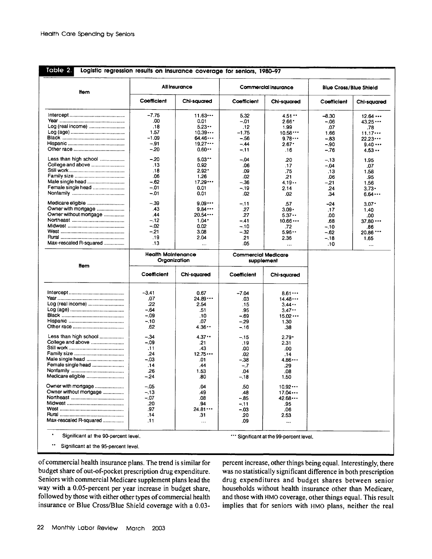**o** Logistic regression results on insurance coverage for seniors, **1980-97**

| ltem                   |                           | All insurance  | Commercial insurance                     |             | <b>Blue Cross/Blue Shield</b> |             |
|------------------------|---------------------------|----------------|------------------------------------------|-------------|-------------------------------|-------------|
|                        | Coefficient               | Chi-squared    | Coefficient                              | Chi-squared | Coefficient                   | Chi-squared |
|                        | $-7.75$                   | 11.63          | 5.32                                     | 4.51        | $-8.30$                       | 12.64       |
|                        | .00                       | 0.01           | $-.01$                                   | $2.66^*$    | $-.06$                        | 43.25       |
| Log (real income)      | .18                       | 5.23           | .12                                      | 1.99        | .07                           | .78         |
|                        | 1.57                      | 10.39          | $-1.75$                                  | 10.58       | 1.66                          | 11.17       |
|                        | $-1.09$                   | 64.46          | - 56                                     | 9.78        | $-.83$                        | 22.23       |
|                        | $-.91$                    | 19.27          | $-.44$                                   | $2.67*$     | $-90$                         | 9.40        |
|                        | $-20$                     | 0.60           | $-.11$                                   | .16         | $-.76$                        | 4.53        |
| Less than high school  | $-.20$                    | 5.03           | $-04$                                    | .20         | $-.13$                        | 1.95        |
| College and above      | .13                       | 0.92           | .06                                      | .17         | $-.04$                        | .07         |
|                        | .18                       | $2.92^{\circ}$ | .09                                      | .75         | .13                           | 1.58        |
|                        | .06                       | 1.26           | .02                                      | .21         | .06                           | .95         |
| Male single head       | $-.62$                    | 17.29          | -.36                                     | 4.19        | $-.21$                        | 1.56        |
| Female single head     | $-.01$                    | 0.01           | $-.19$                                   | 2.14        | .24                           | $3.73 -$    |
|                        | $-.01$                    | 0.01           | .02                                      | .02         | .34                           | 6.64        |
| Medicare eligible      | $-.39$                    | 9.09           | $-.11$                                   | .57         | $-24$                         | $3.07*$     |
| Owner with mortgage    | .43                       | 9.84           | .27                                      | $3.09 -$    | .17                           | 1.40        |
| Owner without mortgage | .44                       | 20.54          | .27                                      | 5.37        | .00                           | .00         |
|                        | $-.12$                    | $1.04*$        | $-41$                                    | 10.66       | .68                           | 37.80       |
|                        | $-02$                     | 0.02           | $-.10$                                   | .72         | $-.10$                        |             |
|                        | $-.21$                    | 3.08           | - 32                                     | 5.96        |                               | 86.         |
|                        |                           |                |                                          |             | $-.62$                        | 20.86 ***   |
|                        | .19                       | 2.04           | .21                                      | 2.36        | $-18$                         | 1.65        |
| Max-rescaled R-squared | .13                       | $\ddotsc$      | .05                                      |             | .10                           | $\cdots$    |
|                        | <b>Health Maintenance</b> | Organization   | <b>Commercial Medicare</b><br>supplement |             |                               |             |
| ltem                   | Coefficient               | Chi-squared    | Coefficient                              | Chi-squared |                               |             |
|                        |                           |                |                                          |             |                               |             |
|                        | $-3.41$                   | 0.67           | $-7.04$                                  | 8.61        |                               |             |
|                        | .07                       | 24.89          | .03                                      | 14.48       |                               |             |
| Log (real income)      | .22                       | 2.54           | .15                                      | 3.44        |                               |             |
|                        | $-64$                     | .51            | .95                                      | 3.47        |                               |             |
|                        | $-.09$                    | .10            | $-69$                                    | 15.02       |                               |             |
|                        | $-.10$                    | .07            | $-.29$                                   | 1.30        |                               |             |
|                        | .62                       | 4.36           | $-16$                                    | .38         |                               |             |
| Less than high school  | $-.34$                    | 4.37           | $-.15$                                   | $2.79 -$    |                               |             |
| College and above      | $-.09$                    | .21            | .19                                      | 2.31        |                               |             |
|                        | .11                       | .43            | .00                                      | .00         |                               |             |
|                        | .24                       | 12.75          | .02                                      | .14         |                               |             |
| Male single head       | $-.03$                    | .01            | $-.38$                                   | 4.86        |                               |             |
| Female single head     | .14                       | .44            | $-.7$                                    | .29         |                               |             |
|                        | .26                       | 1.53           | .04                                      | .08         |                               |             |
| Medicare eligible      | $-.24$                    | .80            | $-.18$                                   | 1.50        |                               |             |
| Owner with mortgage    | $-.05$                    | .04            | .50                                      | 10.92       |                               |             |
| Owner without mortgage | $-.13$                    | .49            | .48                                      | 17.04       |                               |             |
|                        | $-07$                     | .08            | $-.85$                                   | 42.68       |                               |             |
|                        | .20                       | .94            | $-.11$                                   | .95         |                               |             |
|                        | .97                       | 24.81          | $-.03$                                   | .06         |                               |             |
|                        | .14                       | .31            | .20                                      | 2.53        |                               |             |
|                        |                           |                |                                          |             |                               |             |
| Max-rescaled R-squared | .11                       | $\ddotsc$      | .09                                      | $\ddotsc$   |                               |             |

 $\bullet$ Significant at the 95-percent level.

of commercial health insurance plans. The trend is similar for budget share **of** out-of-pocket prescription drug expenditure. Seniors with commercial Medicare supplement plans lead the way with a 0.05-percent per year increase in budget share, followed **by** those with either other types of commercial health insurance or Blue Cross/Blue Shield coverage with a **0.03-** percent increase, other things being equal. Interestingly, there was no statistically significant difference in both prescription drug expenditures and budget shares between senior households without health insurance other than Medicare, and those with HMO coverage, other things equal. This result implies that for seniors with HMO plans, neither the real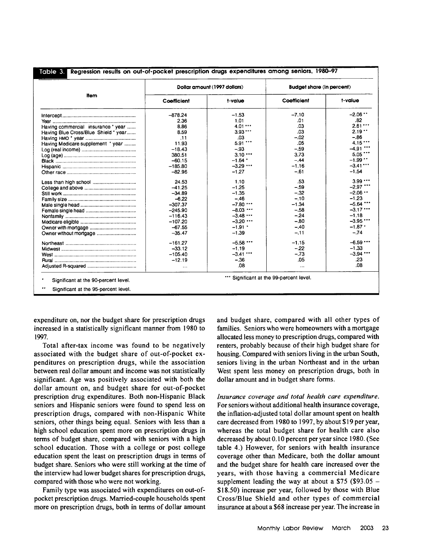|                                      |             | Dollar amount (1997 dollars) | <b>Budget share (in percent)</b> |             |
|--------------------------------------|-------------|------------------------------|----------------------------------|-------------|
| <b>Item</b>                          | Coefficient | t-value                      | Coefficient                      | t-value     |
|                                      | $-878.24$   | $-1.53$                      | $-7.10$                          | $-2.06$ **  |
|                                      | 2.36        | 1.01                         | .01                              | .82         |
| Having commercial insurance * year   | 8.86        | 4.01                         | .03                              | 2.61        |
| Having Blue Cross/Blue Shield * year | 8.59        | 3.93                         | .03                              | 2.19        |
|                                      | .11         | .03                          | $-.02$                           | $-.86$      |
| Having Medicare supplement * year    | 11.93       | $5.91$ ***                   | .05                              | 4.15        |
|                                      | $-18.43$    | $-.93$                       | $-.59$                           | $-4.91$     |
|                                      | 380.51      | 3.10                         | 3.73                             | $5.05$ ***  |
|                                      | $-60.15$    | $-1.64$ *                    | $-.44$                           | $-1.99$     |
|                                      | $-185.80$   | $-3.29$ $$                   | $-1.16$                          | $-3.41$ *** |
|                                      | $-82.96$    | $-1.27$                      | $-.61$                           | $-1.54$     |
| Less than high school                | 24.53       | 1.10                         | .53                              | 3.99        |
|                                      | $-41.25$    | $-1.25$                      | $-.59$                           | $-2.97$ *** |
|                                      | $-34.89$    | $-1.35$                      | $-.32$                           | $-2.06$ **  |
|                                      | $-6.22$     | $-.46$                       | $-.10$                           | $-1.23$     |
|                                      | $-307.37$   | $-7.80$ ***                  | $-1.34$                          | $-5.64$ *** |
|                                      | $-245.90$   | $-8.03$ ***                  | $-.58$                           | $-3.17$     |
|                                      | $-116.43$   | $-3.48$                      | $-.24$                           | $-1.18$     |
|                                      | $-107.20$   | $-3.20$                      | $-80$                            | $-3.95$ *** |
|                                      | $-67.55$    | $-1.91$ *                    | $-.40$                           | $-1.87$ *   |
| Owner without mortgage               | $-35.47$    | $-1.39$                      | $-.11$                           | $-.74$      |
|                                      | $-161.27$   | $-5.58$ ***                  | $-1.15$                          | $-6.59$     |
|                                      | $-33.12$    | $-1.19$                      | $-22$                            | $-1.33$     |
|                                      | $-105.40$   | $-3.41$ ***                  | $-.73$                           | $-3.94$ *** |
|                                      | $-12.19$    | $-.36$                       | .05                              | .23         |
|                                      | $\cdots$    | .08                          | $\cdots$                         | .08         |

expenditure on, nor the budget share for prescription drugs increased in a statistically significant manner from 1980 to 1997.

Total after-tax income was found to be negatively associated with the budget share of out-of-pocket expenditures on prescription drugs, while the association between real dollar amount and income was not statistically significant. Age was positively associated with both the dollar amount on, and budget share for out-of-pocket prescription drug expenditures. Both non-Hispanic Black seniors and Hispanic seniors were found to spend less on prescription drugs, compared with non-Hispanic White seniors, other things being equal. Seniors with less than a high school education spent more on prescription drugs in terms of budget share, compared with seniors with a high school education. Those with a college or post college education spent the least on prescription drugs in terms of budget share. Seniors who were still working at the time of the interview had lower budget shares for prescription drugs, compared with those who were not working.

Family type was associated with expenditures on out-ofpocket prescription drugs. Married-couple households spent more on prescription drugs, both in terms of dollar amount and budget share, compared with all other types of families. Seniors who were homeowners with a mortgage allocated less money to prescription drugs, compared with renters, probably because of their high budget share for housing. Compared with seniors living in the urban South, seniors living in the urban Northeast and in the urban West spent less money on prescription drugs, both in dollar amount and in budget share forms.

*Insurance coverage and total health care expenditure.* For seniors without additional health insurance coverage, the inflation-adjusted total dollar amount spent on health care decreased from 1980 to 1997, by about \$19 per year, whereas the total budget share for health care also decreased by about 0.10 percent per year since 1980. (See table 4.) However, for seniors with health insurance coverage other than Medicare, both the dollar amount and the budget share for health care increased over the years, with those having a commercial Medicare supplement leading the way at about a  $$75$  (\$93.05 -\$18.50) increase per year, followed by those with Blue Cross/Blue Shield and other types of commercial insurance at about a \$68 increase per year. The increase in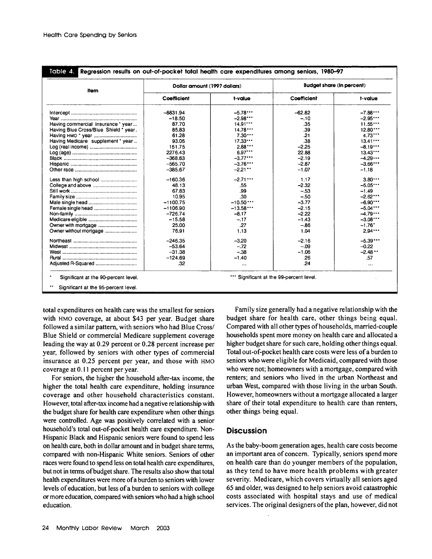**Regression results on out-of-pocket total health care expenditures among seniors, 1980-97** Ie 4-

| Item                                  | Dollar amount (1997 dollars) |            | <b>Budget share (in percent)</b> |            |  |
|---------------------------------------|------------------------------|------------|----------------------------------|------------|--|
|                                       | Coefficient                  | t-value    | Coefficient                      | t-value    |  |
|                                       | $-8831.94$                   | $-5.78$    | $-62.82$                         | $-7.88$    |  |
|                                       | $-18.50$                     | $-2.98$    | $-.10$                           | $-2.95$    |  |
| Having commercial insurance * year    | 87.70                        | $14.91***$ | .35                              | 11.55      |  |
| Having Blue Cross/Blue Shield * year. | 85.83                        | 14.78      | .39                              | $12.80***$ |  |
|                                       | 61.28                        | $7.30***$  | .21                              | 4.73       |  |
| Having Medicare supplement * year     | 93.05                        | 17.33      | .38                              | 13.41      |  |
|                                       | 151.75                       | 2.88       | $-2.25$                          | $-8.19$    |  |
|                                       | 2276.43                      | $6.97***$  | 22.88                            | $13.43***$ |  |
|                                       | $-368.63$                    | $-3.77$    | $-2.19$                          | $-4.29$    |  |
|                                       | $-565.70$                    | $-3.76$    | $-2.87$                          | $-3.66$    |  |
|                                       | $-385.67$                    | $-2.21$    | $-1.07$                          | $-1.18$    |  |
| Less than high school                 | $-160.36$                    | $-2.71$    | 1.17                             | 3.80       |  |
| College and above                     | 48.13                        | .55        | $-2.32$                          | $-5.05$    |  |
|                                       | 67.83                        | .99        | $-.53$                           | $-1.49$    |  |
|                                       | 10.95                        | .30        | $-.50$                           | $-2.62$    |  |
|                                       | $-1100.75$                   | $-10.50$   | $-3.77$                          | $-6.90$    |  |
| Female single head                    | $-1106.90$                   | $-13.58$   | $-2.15$                          | $-5.04$    |  |
|                                       | $-726.74$                    | $-8.17$    | $-2.22$                          | $-4.79$    |  |
|                                       | $-15.58$                     | $-.17$     | $-1.43$                          | $-3.08***$ |  |
| Owner with mortgage                   | 25.00                        | .27        | $-.86$                           | $-1.76"$   |  |
| Owner without mortgage                | 76.91                        | 1.13       | 1.04                             | 2.94       |  |
|                                       | $-246.35$                    | $-3.20$    | $-2.16$                          | $-5.39***$ |  |
|                                       | $-53.64$                     | $-.72$     | $-.09$                           | $-0.22$    |  |
|                                       | $-31.38$                     | $-.38$     | $-1.06$                          | $-2.48$    |  |
|                                       | $-124.69$                    | $-1.40$    | .26                              | .57        |  |
|                                       | .32                          | $\cdots$   | .24                              | $\cdots$   |  |

total expenditures on health care was the smallest for seniors with HMO coverage, at about \$43 per year. Budget share followed a similar pattern, with seniors who had Blue Cross/ Blue Shield or commercial Medicare supplement coverage leading the way at 0.29 percent or 0.28 percent increase per year, followed by seniors with other types of commercial insurance at 0.25 percent per year, and those with HMO coverage at 0.11 percent per year.

For seniors, the higher the household after-tax income, the higher the total health care expenditure, holding insurance coverage and other household characteristics constant. However, total after-tax income had a negative relationship with the budget share for health care expenditure when other things were controlled. Age was positively correlated with a senior household's total out-of-pocket health care expenditure. Non-Hispanic Black and Hispanic seniors were found to spend less on health care, both in dollar amount and in budget share terms, compared with non-Hispanic White seniors. Seniors of other races were found to spend less on total health care expenditures, but not in terms of budget share. The results also show that total health expenditures were more of a burden to seniors with lower levels of education, but less of a burden to seniors with college or more education, compared with seniors who had a high school education.

Family size generally had a negative relationship with the budget share for health care, other things being equal. Compared with all other types of households, married-couple households spent more money on health care and allocated a higher budget share for such care, holding other things equal. Total out-of-pocket health care costs were less of a burden to seniors who were eligible for Medicaid, compared with those who were not; homeowners with a mortgage, compared with renters; and seniors who lived in the urban Northeast and urban West, compared with those living in the urban South. However, homeowners without a mortgage allocated a larger share of their total expenditure to health care than renters, other things being equal.

### **Discussion**

As the baby-boom generation ages, health care costs become an important area of concern. Typically, seniors spend more on health care than do younger members of the population, as they tend to have more health problems with greater severity. Medicare, which covers virtually all seniors aged 65 and older, was designed to help seniors avoid catastrophic costs associated with hospital stays and use of medical services. The original designers of the plan, however, did not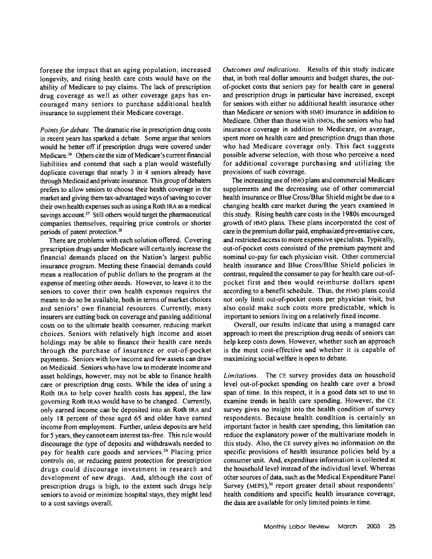foresee the impact that an aging population, increased longevity, and rising health care costs would have on the ability of Medicare to pay claims. The lack of prescription drug coverage as well as other coverage gaps has encouraged many seniors to purchase additional health insurance to supplement their Medicare coverage.

*Points for debate.* The dramatic rise in prescription drug costs in recent years has sparked a debate. Some argue that seniors would be better off if prescription drugs were covered under Medicare.<sup>26</sup> Others cite the size of Medicare's current financial liabilities and contend that such a plan would wastefully duplicate coverage that nearly 3 in 4 seniors already have through Medicaid and private insurance. This group of debaters prefers to allow seniors to choose their health coverage in the market and giving them tax-advantaged ways of saving to cover their own health expenses such as using a Roth IRA as a medical savings account.<sup>27</sup> Still others would target the pharmaceutical companies themselves, requiring price controls or shorter periods of patent protection. <sup>28</sup>

There are problems with each solution offered. Covering prescription drugs under Medicare will certainly increase the financial demands placed on the Nation's largest public insurance program. Meeting these financial demands could mean a reallocation of public dollars to the program at the expense of meeting other needs. However, to leave it to the seniors to cover their own health expenses requires the means to do so be available, both in terms of market choices and seniors' own financial resources. Currently, many insurers are cutting back on coverage and passing additional costs on to the ultimate health consumer, reducing market choices. Seniors with relatively high income and asset holdings may be able to finance their health care needs through the purchase of insurance or out-of-pocket payments. Seniors with low income and few assets can draw on Medicaid. Seniors who have low to moderate income and asset holdings, however, may not be able to finance health care or prescription drug costs. While the idea of using a Roth IRA to help cover health costs has appeal, the law governing Roth IRAs would have to be changed. Currently, only earned income can be deposited into an Roth IRA and only 18 percent of those aged 65 and older have earned income from employment. Further, unless deposits are held for 5 years, they cannot earn interest tax-free. This rule would discourage the type of deposits and withdrawals needed to pay for health care goods and services.<sup>29</sup> Placing price controls on, or reducing patent protection for prescription drugs could discourage investment in research and development of new drugs. And, although the cost of prescription drugs is high, to the extent such drugs help seniors to avoid or minimize hospital stays, they might lead to a cost savings overall.

*Outcomes and indications.* Results of this study indicate that, in both real dollar amounts and budget shares, the outof-pocket costs that seniors pay for health care in general and prescription drugs in particular have increased, except for seniors with either no additional health insurance other than Medicare or seniors with HMO insurance in addition to Medicare. Other than those with HMOs, the seniors who had insurance coverage in addition to Medicare, on average, spent more on health care and prescription drugs than those who had Medicare coverage only. This fact suggests possible adverse selection, with those who perceive a need for additional coverage purchasing and utilizing the provisions of such coverage.

The increasing use of HMO plans and commercial Medicare supplements and the decreasing use of other commercial health insurance or Blue Cross/Blue Shield might be due to a changing health care market during the years examined in this study. Rising health care costs in the 1980s encouraged growth **of** HMO plans. These plans incorporated the cost of care in the premium dollar paid, emphasized preventative care, and restricted access to more expensive specialists. Typically, out-of-pocket costs consisted of the premium payment and nominal co-pay for each physician visit. Other commercial health insurance and Blue Cross/Blue Shield policies in contrast, required the consumer to pay for health care out-ofpocket first and then would reimburse dollars spent according to a benefit schedule. Thus, the HMO plans could not only limit out-of-pocket costs per physician visit, but also could make such costs more predictable, which is important to seniors living on a relatively fixed income.

Overall, our results indicate that using a managed care approach to meet the prescription drug needs of seniors can help keep costs down. However, whether such an approach is the most cost-effective and whether it is capable of maximizing social welfare is open to debate.

*Limitations.* The CE survey provides data on household level out-of-pocket spending on health care over a broad span of time. In this respect, it is a good data set to use to examine trends in health care spending. However, the CE survey gives no insight into the health condition of survey respondents. Because health condition is certainly an important factor in health care spending, this limitation can reduce the explanatory power of the multivariate models in this study. Also, the CE survey gives no information on the specific provisions of health insurance policies held by a consumer unit. And, expenditure information is collected at the household level instead of the individual level. Whereas other sources of data, such as the Medical Expenditure Panel Survey (MEPS),<sup>30</sup> report greater detail about respondents' health conditions and specific health insurance coverage, the data are available for only limited points in time.